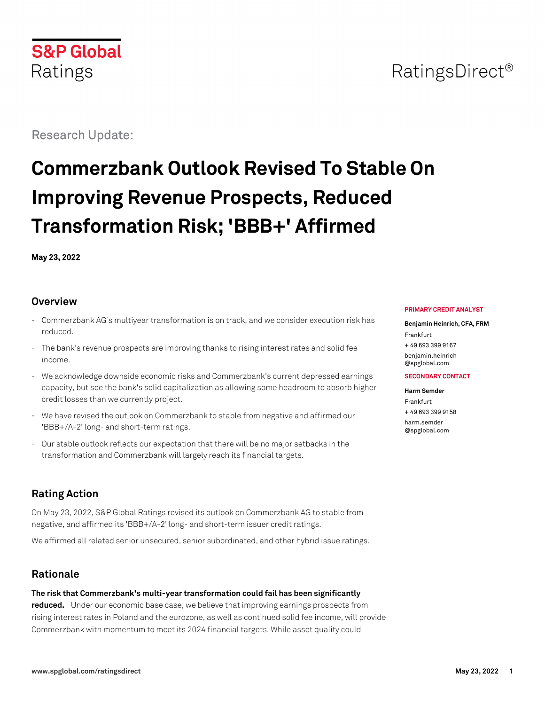# **S&P Global** Ratings

Research Update:

# **Commerzbank Outlook Revised To Stable On Improving Revenue Prospects, Reduced Transformation Risk; 'BBB+' Affirmed**

**May 23, 2022**

#### **Overview**

- Commerzbank AG´s multiyear transformation is on track, and we consider execution risk has reduced.
- The bank's revenue prospects are improving thanks to rising interest rates and solid fee income.
- We acknowledge downside economic risks and Commerzbank's current depressed earnings capacity, but see the bank's solid capitalization as allowing some headroom to absorb higher credit losses than we currently project.
- We have revised the outlook on Commerzbank to stable from negative and affirmed our 'BBB+/A-2' long- and short-term ratings.
- Our stable outlook reflects our expectation that there will be no major setbacks in the transformation and Commerzbank will largely reach its financial targets.

# **Rating Action**

On May 23, 2022, S&P Global Ratings revised its outlook on Commerzbank AG to stable from negative, and affirmed its 'BBB+/A-2' long- and short-term issuer credit ratings.

We affirmed all related senior unsecured, senior subordinated, and other hybrid issue ratings.

# **Rationale**

**The risk that Commerzbank's multi-year transformation could fail has been significantly**

**reduced.** Under our economic base case, we believe that improving earnings prospects from rising interest rates in Poland and the eurozone, as well as continued solid fee income, will provide Commerzbank with momentum to meet its 2024 financial targets. While asset quality could

#### **PRIMARY CREDIT ANALYST**

**Benjamin Heinrich, CFA, FRM** Frankfurt + 49 693 399 9167 [benjamin.heinrich](mailto:benjamin.heinrich@spglobal.com) [@spglobal.com](mailto:benjamin.heinrich@spglobal.com)

#### **SECONDARY CONTACT**

**Harm Semder** Frankfurt + 49 693 399 9158 [harm.semder](mailto:harm.semder@spglobal.com) [@spglobal.com](mailto:harm.semder@spglobal.com)

# RatingsDirect<sup>®</sup>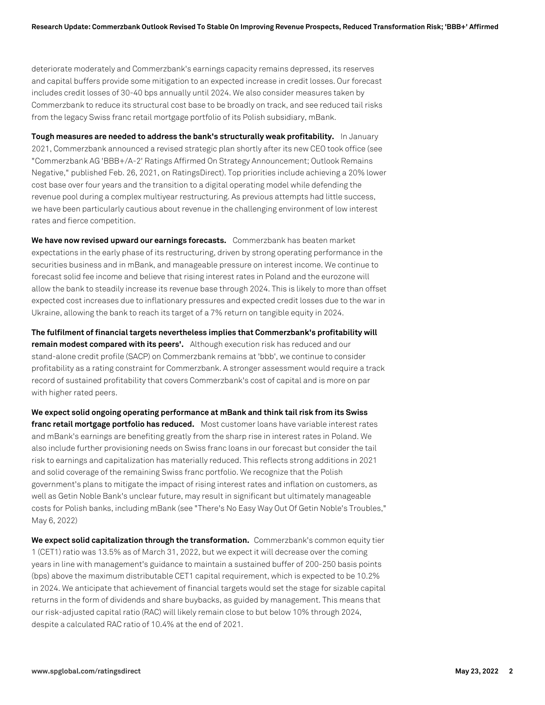deteriorate moderately and Commerzbank's earnings capacity remains depressed, its reserves and capital buffers provide some mitigation to an expected increase in credit losses. Our forecast includes credit losses of 30-40 bps annually until 2024. We also consider measures taken by Commerzbank to reduce its structural cost base to be broadly on track, and see reduced tail risks from the legacy Swiss franc retail mortgage portfolio of its Polish subsidiary, mBank.

**Tough measures are needed to address the bank's structurally weak profitability.** In January 2021, Commerzbank announced a revised strategic plan shortly after its new CEO took office (see "Commerzbank AG 'BBB+/A-2' Ratings Affirmed On Strategy Announcement; Outlook Remains Negative," published Feb. 26, 2021, on RatingsDirect). Top priorities include achieving a 20% lower cost base over four years and the transition to a digital operating model while defending the revenue pool during a complex multiyear restructuring. As previous attempts had little success, we have been particularly cautious about revenue in the challenging environment of low interest rates and fierce competition.

**We have now revised upward our earnings forecasts.** Commerzbank has beaten market expectations in the early phase of its restructuring, driven by strong operating performance in the securities business and in mBank, and manageable pressure on interest income. We continue to forecast solid fee income and believe that rising interest rates in Poland and the eurozone will allow the bank to steadily increase its revenue base through 2024. This is likely to more than offset expected cost increases due to inflationary pressures and expected credit losses due to the war in Ukraine, allowing the bank to reach its target of a 7% return on tangible equity in 2024.

**The fulfilment of financial targets nevertheless implies that Commerzbank's profitability will remain modest compared with its peers'.** Although execution risk has reduced and our stand-alone credit profile (SACP) on Commerzbank remains at 'bbb', we continue to consider profitability as a rating constraint for Commerzbank. A stronger assessment would require a track record of sustained profitability that covers Commerzbank's cost of capital and is more on par with higher rated peers.

**We expect solid ongoing operating performance at mBank and think tail risk from its Swiss franc retail mortgage portfolio has reduced.** Most customer loans have variable interest rates and mBank's earnings are benefiting greatly from the sharp rise in interest rates in Poland. We also include further provisioning needs on Swiss franc loans in our forecast but consider the tail risk to earnings and capitalization has materially reduced. This reflects strong additions in 2021 and solid coverage of the remaining Swiss franc portfolio. We recognize that the Polish government's plans to mitigate the impact of rising interest rates and inflation on customers, as well as Getin Noble Bank's unclear future, may result in significant but ultimately manageable costs for Polish banks, including mBank (see "There's No Easy Way Out Of Getin Noble's Troubles," May 6, 2022)

**We expect solid capitalization through the transformation.** Commerzbank's common equity tier 1 (CET1) ratio was 13.5% as of March 31, 2022, but we expect it will decrease over the coming years in line with management's guidance to maintain a sustained buffer of 200-250 basis points (bps) above the maximum distributable CET1 capital requirement, which is expected to be 10.2% in 2024. We anticipate that achievement of financial targets would set the stage for sizable capital returns in the form of dividends and share buybacks, as guided by management. This means that our risk-adjusted capital ratio (RAC) will likely remain close to but below 10% through 2024, despite a calculated RAC ratio of 10.4% at the end of 2021.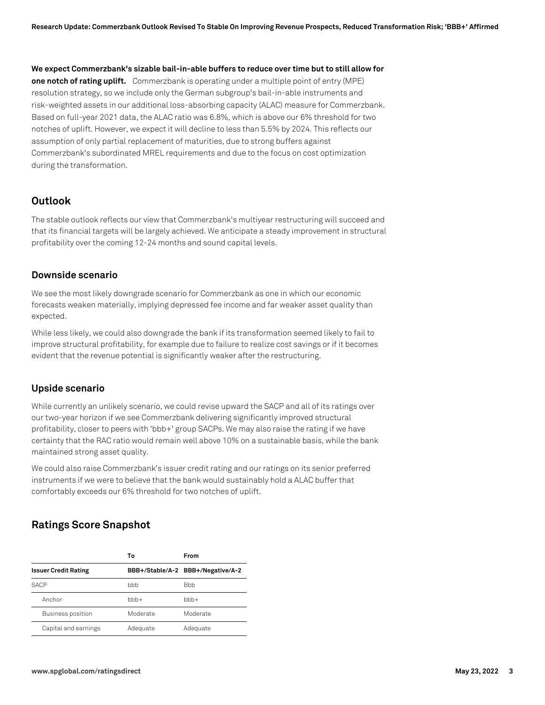**We expect Commerzbank's sizable bail-in-able buffers to reduce over time but to still allow for one notch of rating uplift.** Commerzbank is operating under a multiple point of entry (MPE) resolution strategy, so we include only the German subgroup's bail-in-able instruments and risk-weighted assets in our additional loss-absorbing capacity (ALAC) measure for Commerzbank. Based on full-year 2021 data, the ALAC ratio was 6.8%, which is above our 6% threshold for two notches of uplift. However, we expect it will decline to less than 5.5% by 2024. This reflects our assumption of only partial replacement of maturities, due to strong buffers against Commerzbank's subordinated MREL requirements and due to the focus on cost optimization during the transformation.

### **Outlook**

The stable outlook reflects our view that Commerzbank's multiyear restructuring will succeed and that its financial targets will be largely achieved. We anticipate a steady improvement in structural profitability over the coming 12-24 months and sound capital levels.

#### **Downside scenario**

We see the most likely downgrade scenario for Commerzbank as one in which our economic forecasts weaken materially, implying depressed fee income and far weaker asset quality than expected.

While less likely, we could also downgrade the bank if its transformation seemed likely to fail to improve structural profitability, for example due to failure to realize cost savings or if it becomes evident that the revenue potential is significantly weaker after the restructuring.

#### **Upside scenario**

While currently an unlikely scenario, we could revise upward the SACP and all of its ratings over our two-year horizon if we see Commerzbank delivering significantly improved structural profitability, closer to peers with 'bbb+' group SACPs. We may also raise the rating if we have certainty that the RAC ratio would remain well above 10% on a sustainable basis, while the bank maintained strong asset quality.

We could also raise Commerzbank's issuer credit rating and our ratings on its senior preferred instruments if we were to believe that the bank would sustainably hold a ALAC buffer that comfortably exceeds our 6% threshold for two notches of uplift.

## **Ratings Score Snapshot**

|                             | Т٥       | From                              |
|-----------------------------|----------|-----------------------------------|
| <b>Issuer Credit Rating</b> |          | BBB+/Stable/A-2 BBB+/Negative/A-2 |
| <b>SACP</b>                 | bbb      | <b>B</b> bb                       |
| Anchor                      | $bbb +$  | $bbb +$                           |
| <b>Business position</b>    | Moderate | Moderate                          |
| Capital and earnings        | Adequate | Adequate                          |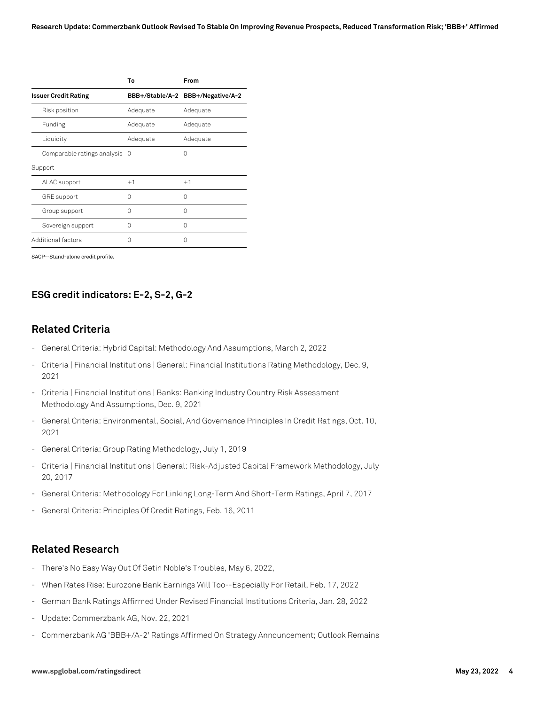|                               | То       | From                              |
|-------------------------------|----------|-----------------------------------|
| <b>Issuer Credit Rating</b>   |          | BBB+/Stable/A-2 BBB+/Negative/A-2 |
| Risk position                 | Adequate | Adequate                          |
| Funding                       | Adequate | Adequate                          |
| Liquidity                     | Adequate | Adequate                          |
| Comparable ratings analysis 0 |          | 0                                 |
| Support                       |          |                                   |
| ALAC support                  | $+1$     | $+1$                              |
| <b>GRE</b> support            | U        | Λ                                 |
| Group support                 | U        | Λ                                 |
| Sovereign support             | O        | Λ                                 |
| Additional factors            |          | ( )                               |

SACP--Stand-alone credit profile.

#### **ESG credit indicators: E-2, S-2, G-2**

#### **Related Criteria**

- General Criteria: Hybrid Capital: Methodology And Assumptions, March 2, 2022
- Criteria | Financial Institutions | General: Financial Institutions Rating Methodology, Dec. 9, 2021
- Criteria | Financial Institutions | Banks: Banking Industry Country Risk Assessment Methodology And Assumptions, Dec. 9, 2021
- General Criteria: Environmental, Social, And Governance Principles In Credit Ratings, Oct. 10, 2021
- General Criteria: Group Rating Methodology, July 1, 2019
- Criteria | Financial Institutions | General: Risk-Adjusted Capital Framework Methodology, July 20, 2017
- General Criteria: Methodology For Linking Long-Term And Short-Term Ratings, April 7, 2017
- General Criteria: Principles Of Credit Ratings, Feb. 16, 2011

#### **Related Research**

- There's No Easy Way Out Of Getin Noble's Troubles, May 6, 2022,
- When Rates Rise: Eurozone Bank Earnings Will Too--Especially For Retail, Feb. 17, 2022
- German Bank Ratings Affirmed Under Revised Financial Institutions Criteria, Jan. 28, 2022
- Update: Commerzbank AG, Nov. 22, 2021
- Commerzbank AG 'BBB+/A-2' Ratings Affirmed On Strategy Announcement; Outlook Remains

#### **www.spglobal.com/ratingsdirect May 23, 2022 4**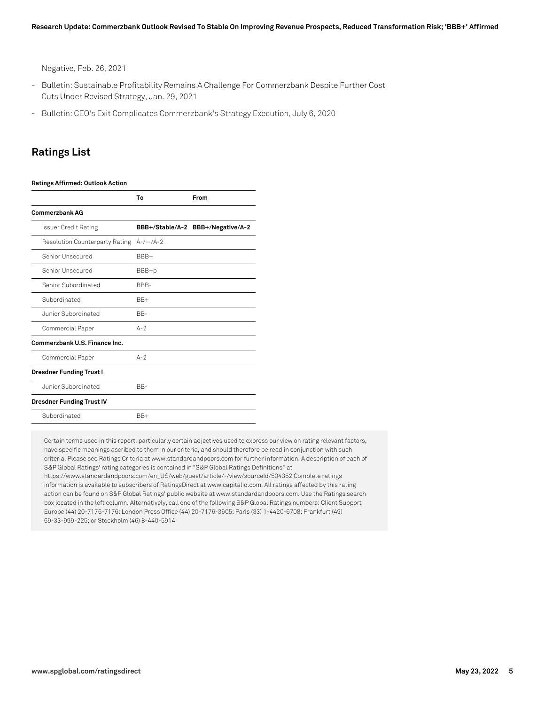Negative, Feb. 26, 2021

- Bulletin: Sustainable Profitability Remains A Challenge For Commerzbank Despite Further Cost Cuts Under Revised Strategy, Jan. 29, 2021
- Bulletin: CEO's Exit Complicates Commerzbank's Strategy Execution, July 6, 2020

#### **Ratings List**

#### **Ratings Affirmed; Outlook Action**

|                                  | To          | From                              |
|----------------------------------|-------------|-----------------------------------|
| <b>Commerzbank AG</b>            |             |                                   |
| Issuer Credit Rating             |             | BBB+/Stable/A-2 BBB+/Negative/A-2 |
| Resolution Counterparty Rating   | $A-/--/A-2$ |                                   |
| Senior Unsecured                 | BBB+        |                                   |
| Senior Unsecured                 | BBB+p       |                                   |
| Senior Subordinated              | BBB-        |                                   |
| Subordinated                     | $BB+$       |                                   |
| Junior Subordinated              | BB-         |                                   |
| Commercial Paper                 | $A-2$       |                                   |
| Commerzhank U.S. Finance Inc.    |             |                                   |
| Commercial Paper                 | $A-2$       |                                   |
| <b>Dresdner Funding Trust I</b>  |             |                                   |
| Junior Subordinated              | BB-         |                                   |
| <b>Dresdner Funding Trust IV</b> |             |                                   |
| Subordinated                     | $BB+$       |                                   |

Certain terms used in this report, particularly certain adjectives used to express our view on rating relevant factors, have specific meanings ascribed to them in our criteria, and should therefore be read in conjunction with such criteria. Please see Ratings Criteria at www.standardandpoors.com for further information. A description of each of S&P Global Ratings' rating categories is contained in "S&P Global Ratings Definitions" at https://www.standardandpoors.com/en\_US/web/guest/article/-/view/sourceId/504352 Complete ratings information is available to subscribers of RatingsDirect at www.capitaliq.com. All ratings affected by this rating action can be found on S&P Global Ratings' public website at www.standardandpoors.com. Use the Ratings search box located in the left column. Alternatively, call one of the following S&P Global Ratings numbers: Client Support Europe (44) 20-7176-7176; London Press Office (44) 20-7176-3605; Paris (33) 1-4420-6708; Frankfurt (49) 69-33-999-225; or Stockholm (46) 8-440-5914